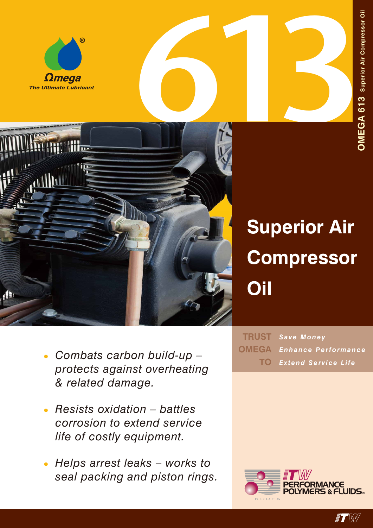





# **Superior Air Compressor Oil**

- *Save Money Enhance Performance Extend Service Life* **TRUST OMEGA TO**
- *• Combats carbon build-up protects against overheating & related damage.*
- *• Resists oxidation battles corrosion to extend service life of costly equipment.*
- *• Helps arrest leaks works to seal packing and piston rings.*



**IT W**